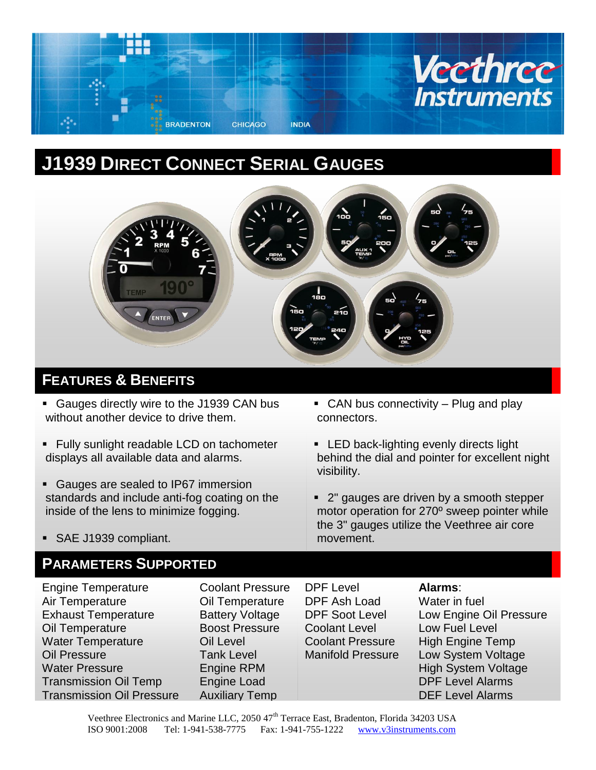

# **J1939 DIRECT CONNECT SERIAL GAUGES**



# **FEATURES & BENEFITS**

- Gauges directly wire to the J1939 CAN bus without another device to drive them.
- **Fully sunlight readable LCD on tachometer** displays all available data and alarms.
- Gauges are sealed to IP67 immersion standards and include anti-fog coating on the inside of the lens to minimize fogging.
- **EXTURE**  CAN bus connectivity Plug and play connectors.
- **LED back-lighting evenly directs light** behind the dial and pointer for excellent night visibility.
- 2" gauges are driven by a smooth stepper motor operation for 270º sweep pointer while the 3" gauges utilize the Veethree air core movement.

SAE J1939 compliant.

### **PARAMETERS SUPPORTED**

**Engine Temperature** Air Temperature Exhaust Temperature Oil Temperature Water Temperature Oil Pressure Water Pressure Transmission Oil Temp Transmission Oil Pressure

Coolant Pressure Oil Temperature Battery Voltage Boost Pressure Oil Level Tank Level Engine RPM Engine Load Auxiliary Temp

DPF Level DPF Ash Load DPF Soot Level Coolant Level Coolant Pressure Manifold Pressure

#### **Alarms**:

Water in fuel Low Engine Oil Pressure Low Fuel Level High Engine Temp Low System Voltage High System Voltage DPF Level Alarms DEF Level Alarms